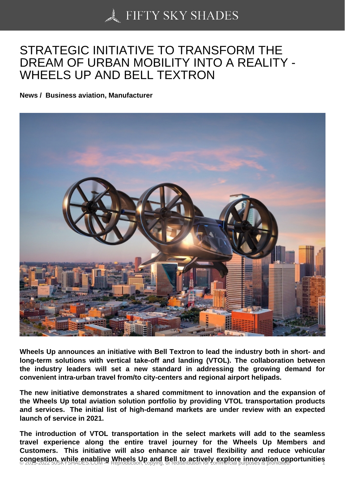## [STRATEGIC INITIATIV](https://50skyshades.com)E TO TRANSFORM THE DREAM OF URBAN MOBILITY INTO A REALITY - WHEELS UP AND BELL TEXTRON

News / Business aviation, Manufacturer

Wheels Up announces an initiative with Bell Textron to lead the industry both in short- and long-term solutions with vertical take-off and landing (VTOL). The collaboration between the industry leaders will set a new standard in addressing the growing demand for convenient intra-urban travel from/to city-centers and regional airport helipads.

The new initiative demonstrates a shared commitment to innovation and the expansion of the Wheels Up total aviation solution portfolio by providing VTOL transportation products and services. The initial list of high-demand markets are under review with an expected launch of service in 2021.

The introduction of VTOL transportation in the select markets will add to the seamless travel experience along the entire travel journey for the Wheels Up Members and Customers. This initiative will also enhance air travel flexibility and reduce vehicular congestion, while enabling Wheels Up and Bell to actively explore innovation opportunities  $\frac{1}{1}$